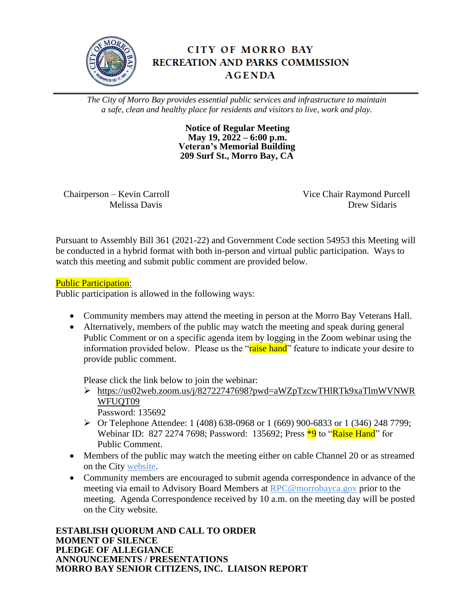

# **CITY OF MORRO BAY RECREATION AND PARKS COMMISSION AGENDA**

*The City of Morro Bay provides essential public services and infrastructure to maintain a safe, clean and healthy place for residents and visitors to live, work and play.*

> **Notice of Regular Meeting May 19, 2022 – 6:00 p.m. Veteran's Memorial Building 209 Surf St., Morro Bay, CA**

Chairperson – Kevin Carroll Vice Chair Raymond Purcell

Melissa Davis Drew Sidaris

Pursuant to Assembly Bill 361 (2021-22) and Government Code section 54953 this Meeting will be conducted in a hybrid format with both in-person and virtual public participation. Ways to watch this meeting and submit public comment are provided below.

# Public Participation:

Public participation is allowed in the following ways:

- Community members may attend the meeting in person at the Morro Bay Veterans Hall.
- Alternatively, members of the public may watch the meeting and speak during general Public Comment or on a specific agenda item by logging in the Zoom webinar using the information provided below. Please us the "raise hand" feature to indicate your desire to provide public comment.

Please click the link below to join the webinar:

➢ [https://us02web.zoom.us/j/82722747698?pwd=aWZpTzcwTHlRTk9xaTlmWVNWR](https://us02web.zoom.us/j/82722747698?pwd=aWZpTzcwTHlRTk9xaTlmWVNWRWFUQT09) WFUOT09

Password: 135692

- ➢ Or Telephone Attendee: 1 (408) 638-0968 or 1 (669) 900-6833 or 1 (346) 248 7799; Webinar ID: 827 2274 7698; Password: 135692; Press <sup>\*9</sup> to "Raise Hand" for Public Comment.
- Members of the public may watch the meeting either on cable Channel 20 or as streamed on the City [website.](https://cal-span.org/unipage/index.php?channel=8)
- Community members are encouraged to submit agenda correspondence in advance of the meeting via email to Advisory Board Members at [RPC@morrobayca.gov](mailto:RPC@morrobayca.gov) prior to the meeting. Agenda Correspondence received by 10 a.m. on the meeting day will be posted on the City website.

**ESTABLISH QUORUM AND CALL TO ORDER MOMENT OF SILENCE PLEDGE OF ALLEGIANCE ANNOUNCEMENTS / PRESENTATIONS MORRO BAY SENIOR CITIZENS, INC. LIAISON REPORT**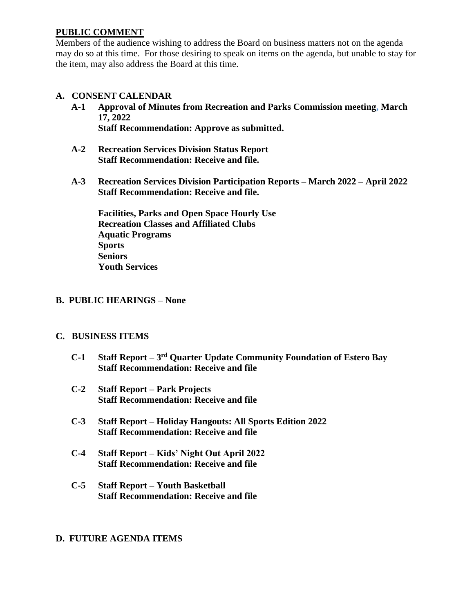### **PUBLIC COMMENT**

Members of the audience wishing to address the Board on business matters not on the agenda may do so at this time. For those desiring to speak on items on the agenda, but unable to stay for the item, may also address the Board at this time.

### **A. CONSENT CALENDAR**

- **A-1 Approval of Minutes from Recreation and Parks Commission meeting, March 17, 2022 Staff Recommendation: Approve as submitted.**
- **A-2 Recreation Services Division Status Report Staff Recommendation: Receive and file.**
- **A-3 Recreation Services Division Participation Reports – March 2022 – April 2022 Staff Recommendation: Receive and file.**

**Facilities, Parks and Open Space Hourly Use Recreation Classes and Affiliated Clubs Aquatic Programs Sports Seniors Youth Services** 

### **B. PUBLIC HEARINGS – None**

### **C. BUSINESS ITEMS**

- **C-1 Staff Report – 3 rd Quarter Update Community Foundation of Estero Bay Staff Recommendation: Receive and file**
- **C-2 Staff Report – Park Projects Staff Recommendation: Receive and file**
- **C-3 Staff Report – Holiday Hangouts: All Sports Edition 2022 Staff Recommendation: Receive and file**
- **C-4 Staff Report – Kids' Night Out April 2022 Staff Recommendation: Receive and file**
- **C-5 Staff Report – Youth Basketball Staff Recommendation: Receive and file**

### **D. FUTURE AGENDA ITEMS**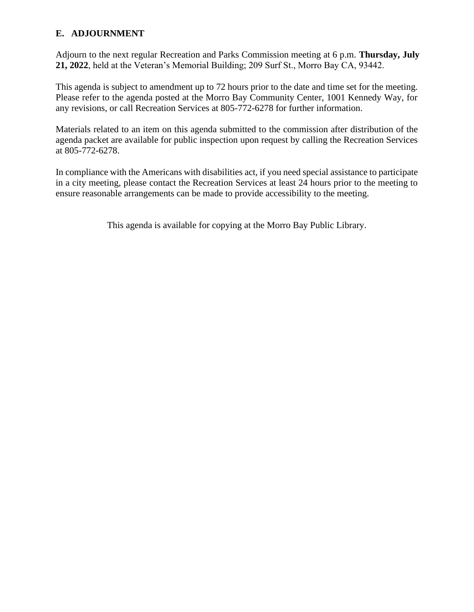### **E. ADJOURNMENT**

Adjourn to the next regular Recreation and Parks Commission meeting at 6 p.m. **Thursday, July 21, 2022**, held at the Veteran's Memorial Building; 209 Surf St., Morro Bay CA, 93442.

This agenda is subject to amendment up to 72 hours prior to the date and time set for the meeting. Please refer to the agenda posted at the Morro Bay Community Center, 1001 Kennedy Way, for any revisions, or call Recreation Services at 805-772-6278 for further information.

Materials related to an item on this agenda submitted to the commission after distribution of the agenda packet are available for public inspection upon request by calling the Recreation Services at 805-772-6278.

In compliance with the Americans with disabilities act, if you need special assistance to participate in a city meeting, please contact the Recreation Services at least 24 hours prior to the meeting to ensure reasonable arrangements can be made to provide accessibility to the meeting.

This agenda is available for copying at the Morro Bay Public Library.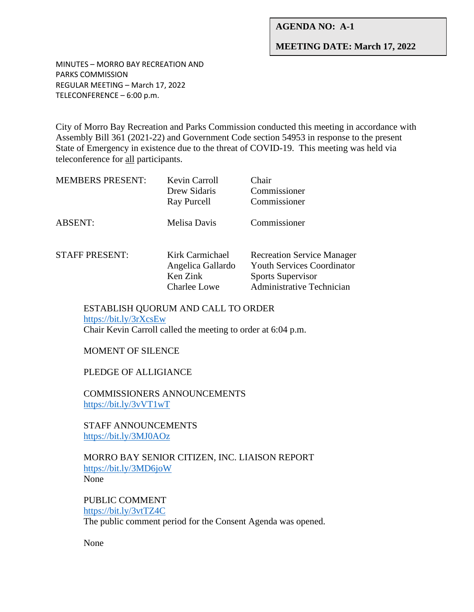### **AGENDA NO: A-1**

### **MEETING DATE: March 17, 2022**

MINUTES – MORRO BAY RECREATION AND PARKS COMMISSION REGULAR MEETING – March 17, 2022 TELECONFERENCE – 6:00 p.m.

City of Morro Bay Recreation and Parks Commission conducted this meeting in accordance with Assembly Bill 361 (2021-22) and Government Code section 54953 in response to the present State of Emergency in existence due to the threat of COVID-19. This meeting was held via teleconference for all participants.

| <b>MEMBERS PRESENT:</b> | Kevin Carroll<br>Drew Sidaris<br>Ray Purcell                            | Chair<br>Commissioner<br>Commissioner                                                                                           |
|-------------------------|-------------------------------------------------------------------------|---------------------------------------------------------------------------------------------------------------------------------|
| <b>ABSENT:</b>          | Melisa Davis                                                            | Commissioner                                                                                                                    |
| <b>STAFF PRESENT:</b>   | Kirk Carmichael<br>Angelica Gallardo<br>Ken Zink<br><b>Charlee Lowe</b> | <b>Recreation Service Manager</b><br><b>Youth Services Coordinator</b><br><b>Sports Supervisor</b><br>Administrative Technician |

ESTABLISH QUORUM AND CALL TO ORDER <https://bit.ly/3rXcsEw> Chair Kevin Carroll called the meeting to order at 6:04 p.m.

MOMENT OF SILENCE

PLEDGE OF ALLIGIANCE

COMMISSIONERS ANNOUNCEMENTS <https://bit.ly/3vVT1wT>

STAFF ANNOUNCEMENTS <https://bit.ly/3MJ0AOz>

MORRO BAY SENIOR CITIZEN, INC. LIAISON REPORT <https://bit.ly/3MD6joW> None

PUBLIC COMMENT <https://bit.ly/3vtTZ4C> The public comment period for the Consent Agenda was opened.

None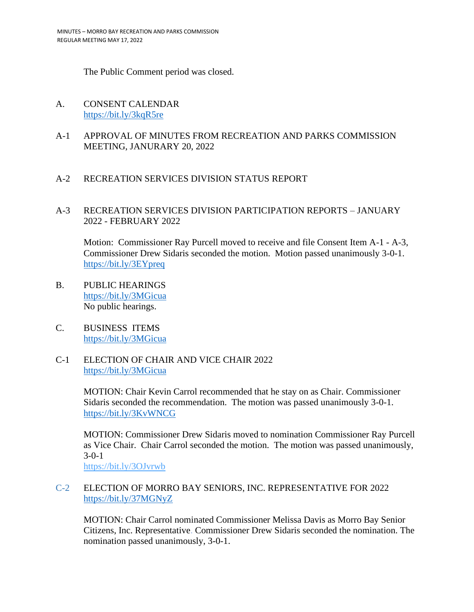The Public Comment period was closed.

- A. CONSENT CALENDAR <https://bit.ly/3kqR5re>
- A-1 APPROVAL OF MINUTES FROM RECREATION AND PARKS COMMISSION MEETING, JANURARY 20, 2022

### A-2 RECREATION SERVICES DIVISION STATUS REPORT

### A-3 RECREATION SERVICES DIVISION PARTICIPATION REPORTS – JANUARY 2022 - FEBRUARY 2022

Motion: Commissioner Ray Purcell moved to receive and file Consent Item A-1 - A-3, Commissioner Drew Sidaris seconded the motion. Motion passed unanimously 3-0-1. <https://bit.ly/3EYpreq>

- B. PUBLIC HEARINGS <https://bit.ly/3MGicua> No public hearings.
- C. BUSINESS ITEMS <https://bit.ly/3MGicua>
- C-1 ELECTION OF CHAIR AND VICE CHAIR 2022 <https://bit.ly/3MGicua>

MOTION: Chair Kevin Carrol recommended that he stay on as Chair. Commissioner Sidaris seconded the recommendation. The motion was passed unanimously 3-0-1. <https://bit.ly/3KvWNCG>

MOTION: Commissioner Drew Sidaris moved to nomination Commissioner Ray Purcell as Vice Chair. Chair Carrol seconded the motion. The motion was passed unanimously, 3-0-1

<https://bit.ly/3OJvrwb>

### C-2 ELECTION OF MORRO BAY SENIORS, INC. REPRESENTATIVE FOR 2022 <https://bit.ly/37MGNyZ>

MOTION: Chair Carrol nominated Commissioner Melissa Davis as Morro Bay Senior Citizens, Inc. Representative. Commissioner Drew Sidaris seconded the nomination. The nomination passed unanimously, 3-0-1.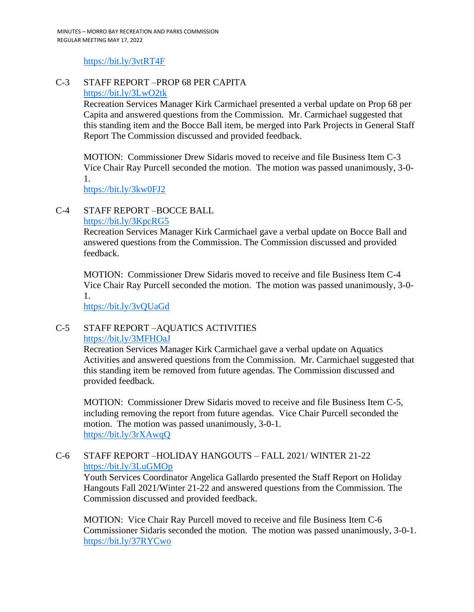### <https://bit.ly/3vtRT4F>

### C-3 STAFF REPORT –PROP 68 PER CAPITA <https://bit.ly/3LwO2tk>

Recreation Services Manager Kirk Carmichael presented a verbal update on Prop 68 per Capita and answered questions from the Commission. Mr. Carmichael suggested that this standing item and the Bocce Ball item, be merged into Park Projects in General Staff Report The Commission discussed and provided feedback.

MOTION: Commissioner Drew Sidaris moved to receive and file Business Item C-3 Vice Chair Ray Purcell seconded the motion. The motion was passed unanimously, 3-0- 1.

<https://bit.ly/3kw0FJ2>

### C-4 STAFF REPORT –BOCCE BALL

### <https://bit.ly/3KpcRG5>

Recreation Services Manager Kirk Carmichael gave a verbal update on Bocce Ball and answered questions from the Commission. The Commission discussed and provided feedback.

MOTION: Commissioner Drew Sidaris moved to receive and file Business Item C-4 Vice Chair Ray Purcell seconded the motion. The motion was passed unanimously, 3-0- 1.

<https://bit.ly/3vQUaGd>

### C-5 STAFF REPORT –AQUATICS ACTIVITIES <https://bit.ly/3MFHOaJ>

Recreation Services Manager Kirk Carmichael gave a verbal update on Aquatics Activities and answered questions from the Commission. Mr. Carmichael suggested that this standing item be removed from future agendas. The Commission discussed and provided feedback.

MOTION: Commissioner Drew Sidaris moved to receive and file Business Item C-5, including removing the report from future agendas. Vice Chair Purcell seconded the motion. The motion was passed unanimously, 3-0-1. <https://bit.ly/3rXAwqQ>

### C-6 STAFF REPORT –HOLIDAY HANGOUTS – FALL 2021/ WINTER 21-22 <https://bit.ly/3LuGMOp>

Youth Services Coordinator Angelica Gallardo presented the Staff Report on Holiday Hangouts Fall 2021/Winter 21-22 and answered questions from the Commission. The Commission discussed and provided feedback.

MOTION: Vice Chair Ray Purcell moved to receive and file Business Item C-6 Commissioner Sidaris seconded the motion. The motion was passed unanimously, 3-0-1. <https://bit.ly/37RYCwo>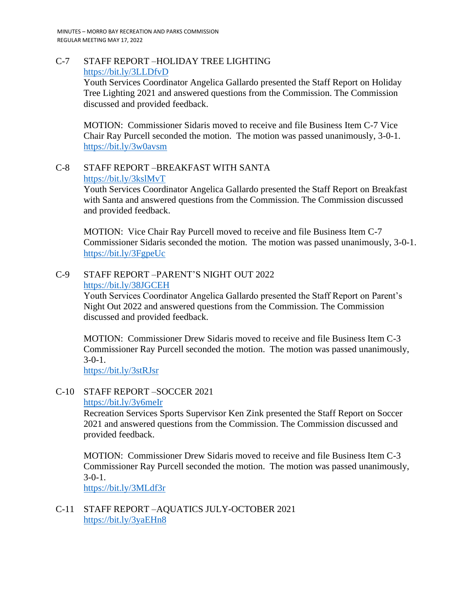C-7 STAFF REPORT –HOLIDAY TREE LIGHTING <https://bit.ly/3LLDfvD>

> Youth Services Coordinator Angelica Gallardo presented the Staff Report on Holiday Tree Lighting 2021 and answered questions from the Commission. The Commission discussed and provided feedback.

> MOTION: Commissioner Sidaris moved to receive and file Business Item C-7 Vice Chair Ray Purcell seconded the motion. The motion was passed unanimously, 3-0-1. <https://bit.ly/3w0avsm>

C-8 STAFF REPORT –BREAKFAST WITH SANTA <https://bit.ly/3kslMvT>

> Youth Services Coordinator Angelica Gallardo presented the Staff Report on Breakfast with Santa and answered questions from the Commission. The Commission discussed and provided feedback.

MOTION: Vice Chair Ray Purcell moved to receive and file Business Item C-7 Commissioner Sidaris seconded the motion. The motion was passed unanimously, 3-0-1. <https://bit.ly/3FgpeUc>

C-9 STAFF REPORT –PARENT'S NIGHT OUT 2022 <https://bit.ly/38JGCEH>

> Youth Services Coordinator Angelica Gallardo presented the Staff Report on Parent's Night Out 2022 and answered questions from the Commission. The Commission discussed and provided feedback.

MOTION: Commissioner Drew Sidaris moved to receive and file Business Item C-3 Commissioner Ray Purcell seconded the motion. The motion was passed unanimously, 3-0-1.

<https://bit.ly/3stRJsr>

# C-10 STAFF REPORT –SOCCER 2021

### <https://bit.ly/3y6meIr>

Recreation Services Sports Supervisor Ken Zink presented the Staff Report on Soccer 2021 and answered questions from the Commission. The Commission discussed and provided feedback.

MOTION: Commissioner Drew Sidaris moved to receive and file Business Item C-3 Commissioner Ray Purcell seconded the motion. The motion was passed unanimously,  $3-0-1$ .

<https://bit.ly/3MLdf3r>

### C-11 STAFF REPORT –AQUATICS JULY-OCTOBER 2021 <https://bit.ly/3yaEHn8>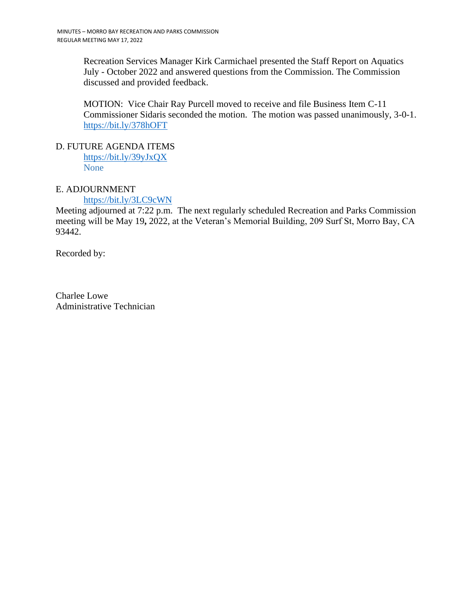Recreation Services Manager Kirk Carmichael presented the Staff Report on Aquatics July - October 2022 and answered questions from the Commission. The Commission discussed and provided feedback.

MOTION: Vice Chair Ray Purcell moved to receive and file Business Item C-11 Commissioner Sidaris seconded the motion. The motion was passed unanimously, 3-0-1. <https://bit.ly/378hOFT>

D. FUTURE AGENDA ITEMS <https://bit.ly/39yJxQX>

None

### E. ADJOURNMENT

<https://bit.ly/3LC9cWN>

Meeting adjourned at 7:22 p.m. The next regularly scheduled Recreation and Parks Commission meeting will be May 19**,** 2022, at the Veteran's Memorial Building, 209 Surf St, Morro Bay, CA 93442.

Recorded by:

Charlee Lowe Administrative Technician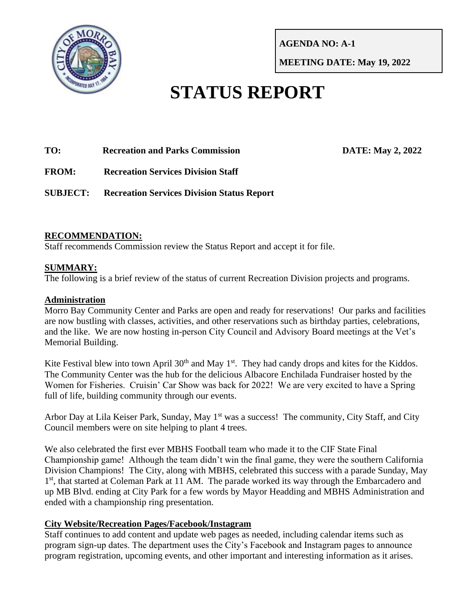

**AGENDA NO: A-1**

**MEETING DATE: May 19, 2022**

# **STATUS REPORT**

**TO: Recreation and Parks Commission DATE: May 2, 2022**

**FROM: Recreation Services Division Staff**

**SUBJECT: Recreation Services Division Status Report**

# **RECOMMENDATION:**

Staff recommends Commission review the Status Report and accept it for file.

# **SUMMARY:**

The following is a brief review of the status of current Recreation Division projects and programs.

# **Administration**

Morro Bay Community Center and Parks are open and ready for reservations! Our parks and facilities are now bustling with classes, activities, and other reservations such as birthday parties, celebrations, and the like. We are now hosting in-person City Council and Advisory Board meetings at the Vet's Memorial Building.

Kite Festival blew into town April  $30<sup>th</sup>$  and May 1<sup>st</sup>. They had candy drops and kites for the Kiddos. The Community Center was the hub for the delicious Albacore Enchilada Fundraiser hosted by the Women for Fisheries. Cruisin' Car Show was back for 2022! We are very excited to have a Spring full of life, building community through our events.

Arbor Day at Lila Keiser Park, Sunday, May 1<sup>st</sup> was a success! The community, City Staff, and City Council members were on site helping to plant 4 trees.

We also celebrated the first ever MBHS Football team who made it to the CIF State Final Championship game! Although the team didn't win the final game, they were the southern California Division Champions! The City, along with MBHS, celebrated this success with a parade Sunday, May 1<sup>st</sup>, that started at Coleman Park at 11 AM. The parade worked its way through the Embarcadero and up MB Blvd. ending at City Park for a few words by Mayor Headding and MBHS Administration and ended with a championship ring presentation.

### **City Website/Recreation Pages/Facebook/Instagram**

Staff continues to add content and update web pages as needed, including calendar items such as program sign-up dates. The department uses the City's Facebook and Instagram pages to announce program registration, upcoming events, and other important and interesting information as it arises.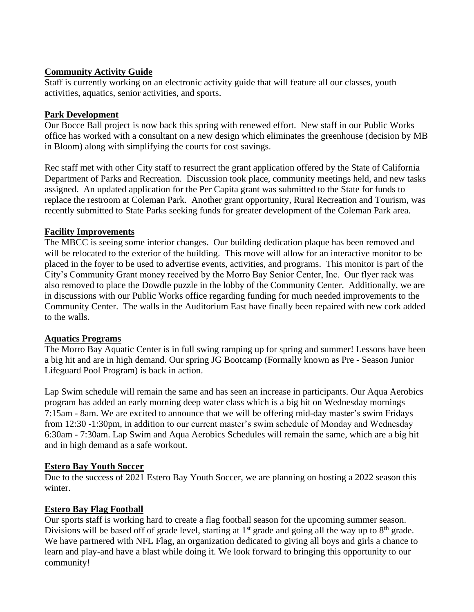## **Community Activity Guide**

Staff is currently working on an electronic activity guide that will feature all our classes, youth activities, aquatics, senior activities, and sports.

## **Park Development**

Our Bocce Ball project is now back this spring with renewed effort. New staff in our Public Works office has worked with a consultant on a new design which eliminates the greenhouse (decision by MB in Bloom) along with simplifying the courts for cost savings.

Rec staff met with other City staff to resurrect the grant application offered by the State of California Department of Parks and Recreation. Discussion took place, community meetings held, and new tasks assigned. An updated application for the Per Capita grant was submitted to the State for funds to replace the restroom at Coleman Park. Another grant opportunity, Rural Recreation and Tourism, was recently submitted to State Parks seeking funds for greater development of the Coleman Park area.

# **Facility Improvements**

The MBCC is seeing some interior changes. Our building dedication plaque has been removed and will be relocated to the exterior of the building. This move will allow for an interactive monitor to be placed in the foyer to be used to advertise events, activities, and programs. This monitor is part of the City's Community Grant money received by the Morro Bay Senior Center, Inc. Our flyer rack was also removed to place the Dowdle puzzle in the lobby of the Community Center. Additionally, we are in discussions with our Public Works office regarding funding for much needed improvements to the Community Center. The walls in the Auditorium East have finally been repaired with new cork added to the walls.

### **Aquatics Programs**

The Morro Bay Aquatic Center is in full swing ramping up for spring and summer! Lessons have been a big hit and are in high demand. Our spring JG Bootcamp (Formally known as Pre - Season Junior Lifeguard Pool Program) is back in action.

Lap Swim schedule will remain the same and has seen an increase in participants. Our Aqua Aerobics program has added an early morning deep water class which is a big hit on Wednesday mornings 7:15am - 8am. We are excited to announce that we will be offering mid-day master's swim Fridays from 12:30 -1:30pm, in addition to our current master's swim schedule of Monday and Wednesday 6:30am - 7:30am. Lap Swim and Aqua Aerobics Schedules will remain the same, which are a big hit and in high demand as a safe workout.

# **Estero Bay Youth Soccer**

Due to the success of 2021 Estero Bay Youth Soccer, we are planning on hosting a 2022 season this winter.

# **Estero Bay Flag Football**

Our sports staff is working hard to create a flag football season for the upcoming summer season. Divisions will be based off of grade level, starting at 1<sup>st</sup> grade and going all the way up to 8<sup>th</sup> grade. We have partnered with NFL Flag, an organization dedicated to giving all boys and girls a chance to learn and play-and have a blast while doing it. We look forward to bringing this opportunity to our community!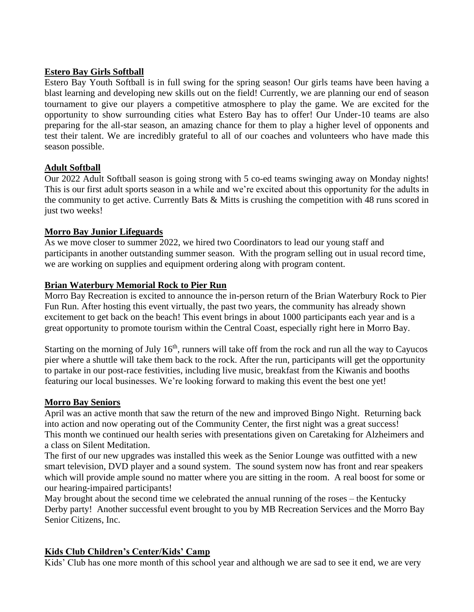### **Estero Bay Girls Softball**

Estero Bay Youth Softball is in full swing for the spring season! Our girls teams have been having a blast learning and developing new skills out on the field! Currently, we are planning our end of season tournament to give our players a competitive atmosphere to play the game. We are excited for the opportunity to show surrounding cities what Estero Bay has to offer! Our Under-10 teams are also preparing for the all-star season, an amazing chance for them to play a higher level of opponents and test their talent. We are incredibly grateful to all of our coaches and volunteers who have made this season possible.

# **Adult Softball**

Our 2022 Adult Softball season is going strong with 5 co-ed teams swinging away on Monday nights! This is our first adult sports season in a while and we're excited about this opportunity for the adults in the community to get active. Currently Bats & Mitts is crushing the competition with 48 runs scored in just two weeks!

# **Morro Bay Junior Lifeguards**

As we move closer to summer 2022, we hired two Coordinators to lead our young staff and participants in another outstanding summer season. With the program selling out in usual record time, we are working on supplies and equipment ordering along with program content.

### **Brian Waterbury Memorial Rock to Pier Run**

Morro Bay Recreation is excited to announce the in-person return of the Brian Waterbury Rock to Pier Fun Run. After hosting this event virtually, the past two years, the community has already shown excitement to get back on the beach! This event brings in about 1000 participants each year and is a great opportunity to promote tourism within the Central Coast, especially right here in Morro Bay.

Starting on the morning of July  $16<sup>th</sup>$ , runners will take off from the rock and run all the way to Cayucos pier where a shuttle will take them back to the rock. After the run, participants will get the opportunity to partake in our post-race festivities, including live music, breakfast from the Kiwanis and booths featuring our local businesses. We're looking forward to making this event the best one yet!

### **Morro Bay Seniors**

April was an active month that saw the return of the new and improved Bingo Night. Returning back into action and now operating out of the Community Center, the first night was a great success! This month we continued our health series with presentations given on Caretaking for Alzheimers and a class on Silent Meditation.

The first of our new upgrades was installed this week as the Senior Lounge was outfitted with a new smart television, DVD player and a sound system. The sound system now has front and rear speakers which will provide ample sound no matter where you are sitting in the room. A real boost for some or our hearing-impaired participants!

May brought about the second time we celebrated the annual running of the roses – the Kentucky Derby party! Another successful event brought to you by MB Recreation Services and the Morro Bay Senior Citizens, Inc.

# **Kids Club Children's Center/Kids' Camp**

Kids' Club has one more month of this school year and although we are sad to see it end, we are very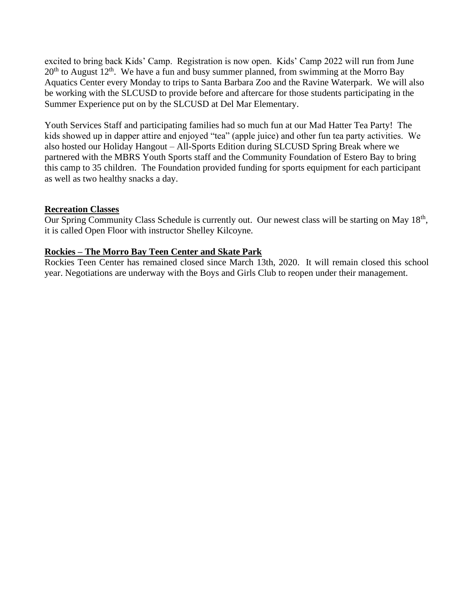excited to bring back Kids' Camp. Registration is now open. Kids' Camp 2022 will run from June  $20<sup>th</sup>$  to August  $12<sup>th</sup>$ . We have a fun and busy summer planned, from swimming at the Morro Bay Aquatics Center every Monday to trips to Santa Barbara Zoo and the Ravine Waterpark. We will also be working with the SLCUSD to provide before and aftercare for those students participating in the Summer Experience put on by the SLCUSD at Del Mar Elementary.

Youth Services Staff and participating families had so much fun at our Mad Hatter Tea Party! The kids showed up in dapper attire and enjoyed "tea" (apple juice) and other fun tea party activities. We also hosted our Holiday Hangout – All-Sports Edition during SLCUSD Spring Break where we partnered with the MBRS Youth Sports staff and the Community Foundation of Estero Bay to bring this camp to 35 children. The Foundation provided funding for sports equipment for each participant as well as two healthy snacks a day.

### **Recreation Classes**

Our Spring Community Class Schedule is currently out. Our newest class will be starting on May 18<sup>th</sup>, it is called Open Floor with instructor Shelley Kilcoyne.

### **Rockies – The Morro Bay Teen Center and Skate Park**

Rockies Teen Center has remained closed since March 13th, 2020. It will remain closed this school year. Negotiations are underway with the Boys and Girls Club to reopen under their management.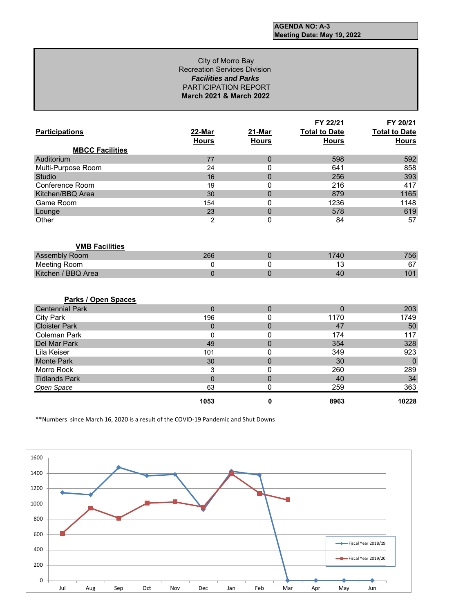### City of Morro Bay Recreation Services Division *Facilities and Parks* PARTICIPATION REPORT **March 2021 & March 2022**

|                            |                |              | FY 22/21             | FY 20/21             |
|----------------------------|----------------|--------------|----------------------|----------------------|
| <b>Participations</b>      | 22-Mar         | 21-Mar       | <b>Total to Date</b> | <b>Total to Date</b> |
|                            | <b>Hours</b>   | <b>Hours</b> | <b>Hours</b>         | <b>Hours</b>         |
| <b>MBCC Facilities</b>     |                |              |                      |                      |
| Auditorium                 | 77             | $\Omega$     | 598                  | 592                  |
| Multi-Purpose Room         | 24             | 0            | 641                  | 858                  |
| Studio                     | 16             | $\mathbf 0$  | 256                  | 393                  |
| Conference Room            | 19             | 0            | 216                  | 417                  |
| Kitchen/BBQ Area           | 30             | $\pmb{0}$    | 879                  | 1165                 |
| Game Room                  | 154            | 0            | 1236                 | 1148                 |
| Lounge                     | 23             | $\pmb{0}$    | 578                  | 619                  |
| Other                      | 2              | 0            | 84                   | 57                   |
|                            |                |              |                      |                      |
|                            |                |              |                      |                      |
| <b>VMB Facilities</b>      |                |              |                      |                      |
| Assembly Room              | 266            | $\mathbf 0$  | 1740                 | 756                  |
| Meeting Room               | 0              | 0            | 13                   | 67                   |
| Kitchen / BBQ Area         | $\overline{0}$ | $\mathbf 0$  | 40                   | 101                  |
|                            |                |              |                      |                      |
|                            |                |              |                      |                      |
| <b>Parks / Open Spaces</b> |                |              |                      |                      |
| <b>Centennial Park</b>     | $\overline{0}$ | $\mathbf 0$  | $\mathbf 0$          | 203                  |
| <b>City Park</b>           | 196            | 0            | 1170                 | 1749                 |
| <b>Cloister Park</b>       | $\overline{0}$ | $\mathbf 0$  | 47                   | 50                   |
| <b>Coleman Park</b>        | $\mathbf{0}$   | 0            | 174                  | 117                  |
| Del Mar Park               | 49             | $\mathbf 0$  | 354                  | 328                  |
| Lila Keiser                | 101            | 0            | 349                  | 923                  |
| <b>Monte Park</b>          | 30             | $\mathbf 0$  | 30                   | $\mathbf 0$          |
| Morro Rock                 | 3              | 0            | 260                  | 289                  |
| <b>Tidlands Park</b>       | $\overline{0}$ | 0            | 40                   | 34                   |
| Open Space                 | 63             | 0            | 259                  | 363                  |
|                            | 1053           | 0            | 8963                 | 10228                |

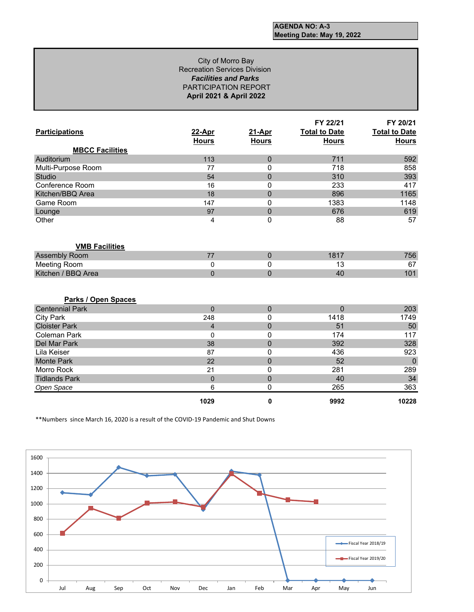### *Facilities and Parks* PARTICIPATION REPORT **April 2021 & April 2022** City of Morro Bay Recreation Services Division

|                        |                        |                        | FY 22/21                             | FY 20/21                             |
|------------------------|------------------------|------------------------|--------------------------------------|--------------------------------------|
| <b>Participations</b>  | 22-Apr<br><b>Hours</b> | 21-Apr<br><b>Hours</b> | <b>Total to Date</b><br><b>Hours</b> | <b>Total to Date</b><br><b>Hours</b> |
| <b>MBCC Facilities</b> |                        |                        |                                      |                                      |
| Auditorium             | 113                    | $\mathbf 0$            | 711                                  | 592                                  |
| Multi-Purpose Room     | 77                     | 0                      | 718                                  | 858                                  |
| Studio                 | 54                     | $\mathbf 0$            | 310                                  | 393                                  |
| Conference Room        | 16                     | 0                      | 233                                  | 417                                  |
| Kitchen/BBQ Area       | 18                     | $\pmb{0}$              | 896                                  | 1165                                 |
| Game Room              | 147                    | 0                      | 1383                                 | 1148                                 |
| Lounge                 | 97                     | $\mathbf 0$            | 676                                  | 619                                  |
| Other                  | 4                      | 0                      | 88                                   | 57                                   |
|                        |                        |                        |                                      |                                      |
| <b>VMB Facilities</b>  |                        |                        |                                      |                                      |
| <b>Assembly Room</b>   | 77                     | $\mathbf 0$            | 1817                                 | 756                                  |
| <b>Meeting Room</b>    | 0                      | 0                      | 13                                   | 67                                   |
| Kitchen / BBQ Area     | $\Omega$               | $\Omega$               | 40                                   | 101                                  |
|                        |                        |                        |                                      |                                      |
| Parks / Open Spaces    |                        |                        |                                      |                                      |
| <b>Centennial Park</b> | $\Omega$               | $\Omega$               | $\Omega$                             | 203                                  |
| <b>City Park</b>       | 248                    | 0                      | 1418                                 | 1749                                 |
| <b>Cloister Park</b>   | $\overline{4}$         | $\overline{0}$         | 51                                   | 50                                   |
| Coleman Park           | $\mathbf{0}$           | 0                      | 174                                  | 117                                  |
| Del Mar Park           | 38                     | $\mathbf 0$            | 392                                  | 328                                  |
| Lila Keiser            | 87                     | 0                      | 436                                  | 923                                  |
| <b>Monte Park</b>      | 22                     | $\mathbf 0$            | 52                                   | $\overline{0}$                       |
| Morro Rock             | 21                     | 0                      | 281                                  | 289                                  |
| <b>Tidlands Park</b>   | $\pmb{0}$              | $\pmb{0}$              | 40                                   | 34                                   |
| Open Space             | 6                      | 0                      | 265                                  | 363                                  |
|                        | 1029                   | 0                      | 9992                                 | 10228                                |

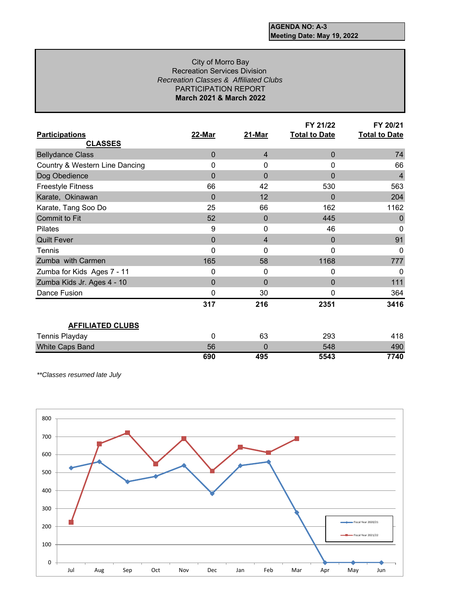### *Recreation Classes & Affiliated Clubs* PARTICIPATION REPORT **March 2021 & March 2022** City of Morro Bay Recreation Services Division

|                                |              |                | FY 21/22             | FY 20/21             |
|--------------------------------|--------------|----------------|----------------------|----------------------|
| <b>Participations</b>          | 22-Mar       | 21-Mar         | <b>Total to Date</b> | <b>Total to Date</b> |
| <b>CLASSES</b>                 |              |                |                      |                      |
| <b>Bellydance Class</b>        | $\Omega$     | $\overline{4}$ | $\mathbf 0$          | 74                   |
| Country & Western Line Dancing | 0            | 0              | 0                    | 66                   |
| Dog Obedience                  | $\Omega$     | $\mathbf{0}$   | $\overline{0}$       | $\overline{4}$       |
| <b>Freestyle Fitness</b>       | 66           | 42             | 530                  | 563                  |
| Karate, Okinawan               | $\Omega$     | 12             | $\Omega$             | 204                  |
| Karate, Tang Soo Do            | 25           | 66             | 162                  | 1162                 |
| Commit to Fit                  | 52           | $\mathbf 0$    | 445                  | 0                    |
| <b>Pilates</b>                 | 9            | 0              | 46                   | $\Omega$             |
| <b>Quilt Fever</b>             | $\mathbf{0}$ | 4              | $\mathbf 0$          | 91                   |
| Tennis                         | 0            | 0              | 0                    | $\Omega$             |
| Zumba with Carmen              | 165          | 58             | 1168                 | 777                  |
| Zumba for Kids Ages 7 - 11     | 0            | 0              | 0                    | $\Omega$             |
| Zumba Kids Jr. Ages 4 - 10     | $\Omega$     | $\mathbf 0$    | $\mathbf 0$          | 111                  |
| Dance Fusion                   | 0            | 30             | 0                    | 364                  |
|                                | 317          | 216            | 2351                 | 3416                 |
|                                |              |                |                      |                      |
| <b>AFFILIATED CLUBS</b>        |              |                |                      |                      |
| Tennis Playday                 | $\Omega$     | 63             | 293                  | 418                  |
| White Caps Band                | 56           | $\mathbf{0}$   | 548                  | 490                  |
|                                | 690          | 495            | 5543                 | 7740                 |

*\*\*Classes resumed late July* 

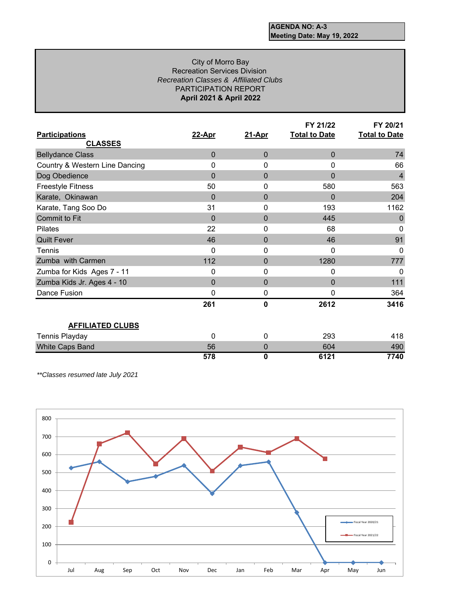### City of Morro Bay Recreation Services Division *Recreation Classes & Affiliated Clubs* PARTICIPATION REPORT **April 2021 & April 2022**

|                                |                |                  | FY 21/22             | FY 20/21             |
|--------------------------------|----------------|------------------|----------------------|----------------------|
| <b>Participations</b>          | 22-Apr         | 21-Apr           | <b>Total to Date</b> | <b>Total to Date</b> |
| <b>CLASSES</b>                 |                |                  |                      |                      |
| <b>Bellydance Class</b>        | $\Omega$       | $\mathbf 0$      | $\mathbf 0$          | 74                   |
| Country & Western Line Dancing | 0              | 0                | 0                    | 66                   |
| Dog Obedience                  | $\Omega$       | 0                | 0                    | $\overline{4}$       |
| <b>Freestyle Fitness</b>       | 50             | 0                | 580                  | 563                  |
| Karate, Okinawan               | $\Omega$       | 0                | $\mathbf{0}$         | 204                  |
| Karate, Tang Soo Do            | 31             | 0                | 193                  | 1162                 |
| Commit to Fit                  | $\Omega$       | $\mathbf{0}$     | 445                  | 0                    |
| <b>Pilates</b>                 | 22             | 0                | 68                   | 0                    |
| <b>Quilt Fever</b>             | 46             | 0                | 46                   | 91                   |
| Tennis                         | 0              | 0                | 0                    | $\Omega$             |
| Zumba with Carmen              | 112            | 0                | 1280                 | 777                  |
| Zumba for Kids Ages 7 - 11     | 0              | 0                | 0                    | $\Omega$             |
| Zumba Kids Jr. Ages 4 - 10     | $\overline{0}$ | $\overline{0}$   | $\Omega$             | 111                  |
| Dance Fusion                   | $\mathbf{0}$   | $\boldsymbol{0}$ | 0                    | 364                  |
|                                | 261            | 0                | 2612                 | 3416                 |
|                                |                |                  |                      |                      |
| <b>AFFILIATED CLUBS</b>        |                |                  |                      |                      |
| Tennis Playday                 | $\Omega$       | 0                | 293                  | 418                  |
| White Caps Band                | 56             | $\mathbf 0$      | 604                  | 490                  |
|                                | 578            | 0                | 6121                 | 7740                 |

*\*\*Classes resumed late July 2021*

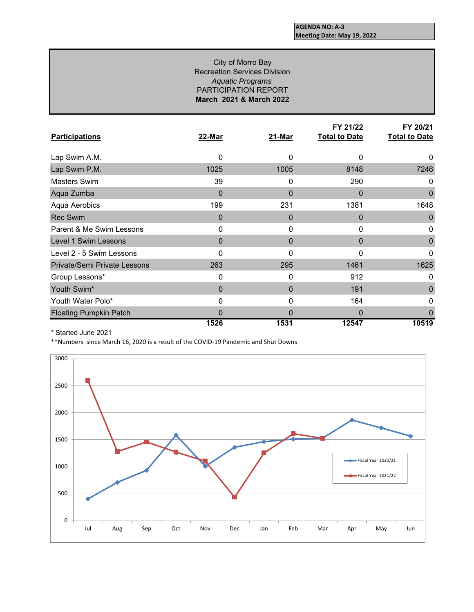### City of Morro Bay Recreation Services Division *Aquatic Programs* PARTICIPATION REPORT **March 2021 & March 2022**

|                                     |          |        | FY 21/22             | FY 20/21             |
|-------------------------------------|----------|--------|----------------------|----------------------|
| <b>Participations</b>               | 22-Mar   | 21-Mar | <b>Total to Date</b> | <b>Total to Date</b> |
| Lap Swim A.M.                       | $\Omega$ | 0      | 0                    | 0                    |
| Lap Swim P.M.                       | 1025     | 1005   | 8148                 | 7246                 |
| Masters Swim                        | 39       | 0      | 290                  | 0                    |
| Aqua Zumba                          | 0        | 0      | 0                    | $\mathbf 0$          |
| Aqua Aerobics                       | 199      | 231    | 1381                 | 1648                 |
| <b>Rec Swim</b>                     | $\Omega$ | 0      | 0                    | $\mathbf 0$          |
| Parent & Me Swim Lessons            | 0        | 0      | 0                    | 0                    |
| Level 1 Swim Lessons                | $\Omega$ | 0      | $\mathbf{0}$         | 0                    |
| Level 2 - 5 Swim Lessons            | 0        | 0      | 0                    | 0                    |
| <b>Private/Semi Private Lessons</b> | 263      | 295    | 1461                 | 1625                 |
| Group Lessons*                      | 0        | 0      | 912                  | 0                    |
| Youth Swim*                         | $\Omega$ | 0      | 191                  | 0                    |
| Youth Water Polo*                   | 0        | 0      | 164                  | 0                    |
| <b>Floating Pumpkin Patch</b>       | 0        | O      | 0                    |                      |
|                                     | 1526     | 1531   | 12547                | 10519                |

\* Started June 2021

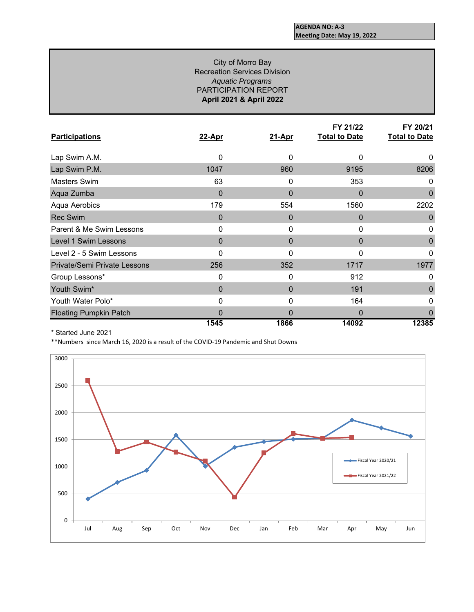### *Aquatic Programs* PARTICIPATION REPORT **April 2021 & April 2022** City of Morro Bay Recreation Services Division

|                                     |          |              | FY 21/22             | FY 20/21             |
|-------------------------------------|----------|--------------|----------------------|----------------------|
| <b>Participations</b>               | 22-Apr   | 21-Apr       | <b>Total to Date</b> | <b>Total to Date</b> |
| Lap Swim A.M.                       | 0        | $\Omega$     | 0                    | 0                    |
| Lap Swim P.M.                       | 1047     | 960          | 9195                 | 8206                 |
| Masters Swim                        | 63       | 0            | 353                  | 0                    |
| Aqua Zumba                          | 0        | $\mathbf{0}$ | 0                    | 0                    |
| Aqua Aerobics                       | 179      | 554          | 1560                 | 2202                 |
| <b>Rec Swim</b>                     | $\Omega$ | $\Omega$     | $\Omega$             | 0                    |
| Parent & Me Swim Lessons            | 0        | $\Omega$     | 0                    | 0                    |
| Level 1 Swim Lessons                | $\Omega$ | $\Omega$     | $\Omega$             | 0                    |
| Level 2 - 5 Swim Lessons            | 0        | 0            | 0                    | 0                    |
| <b>Private/Semi Private Lessons</b> | 256      | 352          | 1717                 | 1977                 |
| Group Lessons*                      | 0        | $\mathbf{0}$ | 912                  | 0                    |
| Youth Swim*                         | $\Omega$ | $\Omega$     | 191                  | 0                    |
| Youth Water Polo*                   | 0        | 0            | 164                  | 0                    |
| <b>Floating Pumpkin Patch</b>       | $\Omega$ | 0            | $\Omega$             |                      |
|                                     | 1545     | 1866         | 14092                | 12385                |

\* Started June 2021

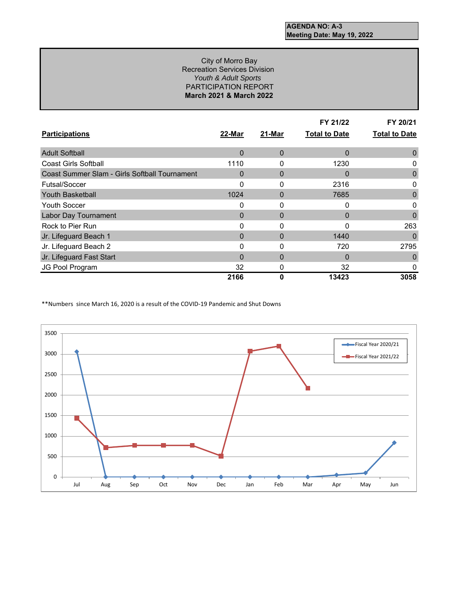### *Youth & Adult Sports*  PARTICIPATION REPORT **March 2021 & March 2022** City of Morro Bay Recreation Services Division

| <b>Participations</b>                         | 22-Mar | 21-Mar       | FY 21/22<br><b>Total to Date</b> | FY 20/21<br><b>Total to Date</b> |
|-----------------------------------------------|--------|--------------|----------------------------------|----------------------------------|
| <b>Adult Softball</b>                         | 0      | $\Omega$     | $\Omega$                         | $\Omega$                         |
| <b>Coast Girls Softball</b>                   | 1110   | 0            | 1230                             | 0                                |
| Coast Summer Slam - Girls Softball Tournament | 0      | $\Omega$     | 0                                | 0                                |
| Futsal/Soccer                                 | O      | $\Omega$     | 2316                             | 0                                |
| <b>Youth Basketball</b>                       | 1024   | $\mathbf{0}$ | 7685                             | 0                                |
| <b>Youth Soccer</b>                           | 0      | 0            | 0                                | 0                                |
| <b>Labor Day Tournament</b>                   | 0      | $\Omega$     | $\Omega$                         | 0                                |
| Rock to Pier Run                              | ŋ      | 0            | 0                                | 263                              |
| Jr. Lifeguard Beach 1                         | 0      | $\Omega$     | 1440                             | 0                                |
| Jr. Lifeguard Beach 2                         | ი      | 0            | 720                              | 2795                             |
| Jr. Lifeguard Fast Start                      | 0      | $\mathbf{0}$ | $\Omega$                         | 0                                |
| JG Pool Program                               | 32     | 0            | 32                               | 0                                |
|                                               | 2166   | 0            | 13423                            | 3058                             |

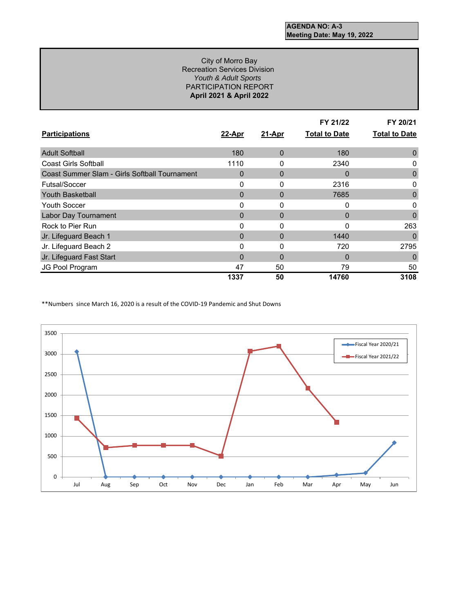### *Youth & Adult Sports*  PARTICIPATION REPORT **April 2021 & April 2022** City of Morro Bay Recreation Services Division

|                                               |        |              | FY 21/22             | FY 20/21             |
|-----------------------------------------------|--------|--------------|----------------------|----------------------|
| <b>Participations</b>                         | 22-Apr | 21-Apr       | <b>Total to Date</b> | <b>Total to Date</b> |
| <b>Adult Softball</b>                         | 180    | $\mathbf{0}$ | 180                  | 0                    |
| Coast Girls Softball                          | 1110   | 0            | 2340                 | 0                    |
| Coast Summer Slam - Girls Softball Tournament | 0      | $\Omega$     | $\Omega$             | 0                    |
| Futsal/Soccer                                 | 0      | $\mathbf{0}$ | 2316                 | 0                    |
| <b>Youth Basketball</b>                       | 0      | 0            | 7685                 | 0                    |
| <b>Youth Soccer</b>                           | 0      | $\mathbf{0}$ | $\Omega$             | 0                    |
| <b>Labor Day Tournament</b>                   | 0      | $\Omega$     | $\Omega$             | 0                    |
| Rock to Pier Run                              | ი      | $\mathbf{0}$ | 0                    | 263                  |
| Jr. Lifeguard Beach 1                         | 0      | $\Omega$     | 1440                 | 0                    |
| Jr. Lifeguard Beach 2                         | ი      | 0            | 720                  | 2795                 |
| Jr. Lifeguard Fast Start                      | 0      | 0            | $\Omega$             | 0                    |
| JG Pool Program                               | 47     | 50           | 79                   | 50                   |
|                                               | 1337   | 50           | 14760                | 3108                 |

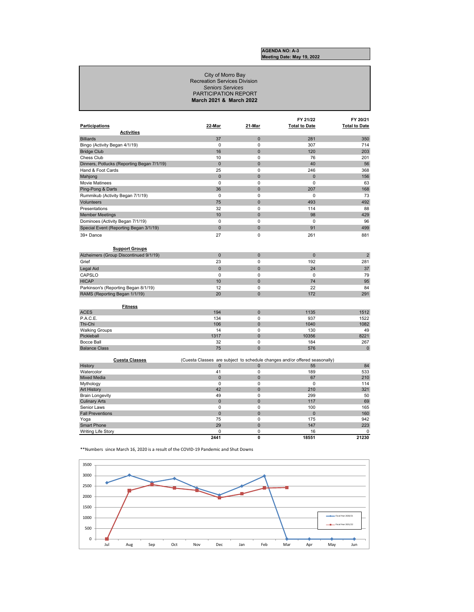#### City of Morro Bay Recreation Services Division *Seniors Services*  PARTICIPATION REPORT **March 2021 & March 2022**

| Participations                             | 22-Mar         | 21-Mar              | FY 21/22<br><b>Total to Date</b>                                           | FY 20/21<br><b>Total to Date</b> |
|--------------------------------------------|----------------|---------------------|----------------------------------------------------------------------------|----------------------------------|
| <b>Activities</b>                          |                |                     |                                                                            |                                  |
| <b>Billiards</b>                           | 37             | $\mathbf{0}$        | 281                                                                        | 350                              |
| Bingo (Activity Began 4/1/19)              | $\Omega$       | $\Omega$            | 307                                                                        | 714                              |
| <b>Bridge Club</b>                         | 16             | $\mathbf{0}$        | 120                                                                        | 203                              |
| Chess Club                                 | 10             | 0                   | 76                                                                         | 201                              |
| Dinners, Potlucks (Reporting Began 7/1/19) | $\overline{0}$ | $\mathbf{0}$        | 40                                                                         | 56                               |
| Hand & Foot Cards                          | 25             | 0                   | 246                                                                        | 368                              |
| Mahjong                                    | $\mathbf{0}$   | 0                   | $\mathbf{0}$                                                               | 156                              |
| <b>Movie Matinees</b>                      | $\Omega$       | $\Omega$            | $\Omega$                                                                   | 63                               |
| Ping-Pong & Darts                          | 36             | $\mathbf{0}$        | 207                                                                        | 168                              |
| Rummikub (Activity Began 7/1/19)           | $\mathbf 0$    | 0                   | 0                                                                          | 73                               |
| Volunteers                                 | 75             | $\overline{0}$      | 493                                                                        | 492                              |
| Presentations                              | 32             | 0                   | 114                                                                        | 88                               |
| <b>Member Meetings</b>                     | 10             | $\mathbf{0}$        | 98                                                                         | 429                              |
| Dominoes (Activity Began 7/1/19)           | $\Omega$       | $\Omega$            | $\Omega$                                                                   | 96                               |
| Special Event (Reporting Began 3/1/19)     | $\overline{0}$ | $\overline{0}$      | 91                                                                         | 499                              |
| 39+ Dance                                  | 27             | 0                   | 261                                                                        | 881                              |
|                                            |                |                     |                                                                            |                                  |
|                                            |                |                     |                                                                            |                                  |
| <b>Support Groups</b>                      |                |                     |                                                                            |                                  |
| Alzheimers (Group Discontinued 9/1/19)     | $\Omega$       | $\mathbf{0}$        | $\Omega$                                                                   | $\overline{2}$                   |
| Grief                                      | 23             | 0                   | 192                                                                        | 281                              |
| Legal Aid                                  | $\Omega$       | $\Omega$            | 24                                                                         | 37                               |
| CAPSLO                                     | $\Omega$       | 0                   | $\Omega$                                                                   | 79                               |
| <b>HICAP</b>                               | 10             | $\overline{0}$      | 74                                                                         | 95                               |
| Parkinson's (Reporting Began 8/1/19)       | 12             | 0                   | 22                                                                         | 84                               |
| RAMS (Reporting Began 1/1/19)              | 20             | $\mathbf{0}$        | 172                                                                        | 291                              |
|                                            |                |                     |                                                                            |                                  |
| <b>Fitness</b>                             |                |                     |                                                                            |                                  |
| <b>ACES</b>                                | 194            | $\mathbf{0}$        | 1135                                                                       | 1512                             |
| P.A.C.E.                                   | 134            | 0                   | 937                                                                        | 1522                             |
| Thi-Chi                                    | 106<br>14      | $\mathbf 0$<br>0    | 1040<br>130                                                                | 1082<br>49                       |
| <b>Walking Groups</b><br>Pickleball        | 1317           | $\mathbf{0}$        | 10356                                                                      | 8221                             |
| Bocce Ball                                 | 32             | 0                   | 184                                                                        | 267                              |
| <b>Balance Class</b>                       | 75             | $\overline{0}$      | 576                                                                        | $\pmb{0}$                        |
|                                            |                |                     |                                                                            |                                  |
| <b>Cuesta Classes</b>                      |                |                     | (Cuesta Classes are subject to schedule changes and/or offered seasonally) |                                  |
| History                                    | 0              | 0                   | 55                                                                         | 84                               |
| Watercolor                                 | 41             | 0                   | 189                                                                        | 533                              |
| <b>Mixed Media</b>                         | $\overline{0}$ | $\overline{0}$      | 67                                                                         | 210                              |
| Mythology                                  | $\mathbf 0$    | 0                   | $\mathbf 0$                                                                | 114                              |
| <b>Art History</b>                         | 42             | $\mathbf{0}$        | 210                                                                        | 321                              |
| <b>Brain Longevity</b>                     | 49             | 0                   | 299                                                                        | 50                               |
| <b>Culinary Arts</b>                       | $\overline{0}$ | $\mathbf{0}$        | 117                                                                        | 69                               |
| Senior Laws                                | 0              | 0                   | 100                                                                        | 165                              |
| <b>Fall Preventions</b>                    | $\mathbf{0}$   | $\mathbf{0}$        | $\mathbf{0}$                                                               | 160                              |
| Yoga                                       | 75<br>29       | 0<br>$\overline{0}$ | 175<br>147                                                                 | 942<br>223                       |
| <b>Smart Phone</b>                         | $\Omega$       | $\Omega$            | 16                                                                         | 0                                |
| Writing Life Story                         | 2441           | 0                   | 18551                                                                      | 21230                            |

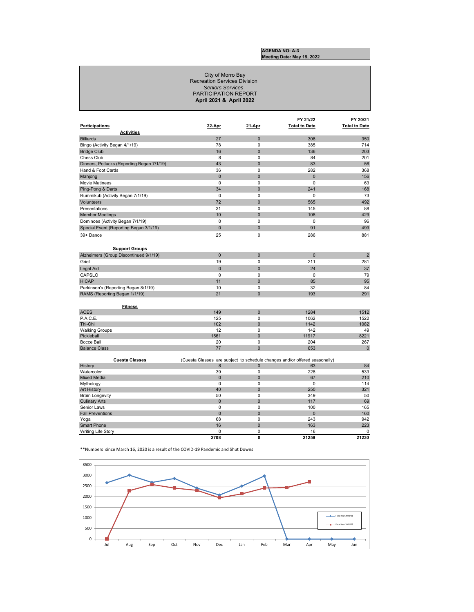**2708 0 21259 21230**

#### *Seniors Services*  PARTICIPATION REPORT **April 2021 & April 2022** City of Morro Bay Recreation Services Division

| <b>Participations</b><br><b>Activities</b> | 22-Apr         | 21-Apr         | FY 21/22<br><b>Total to Date</b>                                           | FY 20/21<br><b>Total to Date</b> |
|--------------------------------------------|----------------|----------------|----------------------------------------------------------------------------|----------------------------------|
| <b>Billiards</b>                           | 27             | $\mathbf{0}$   | 308                                                                        | 350                              |
|                                            | 78             | 0              | 385                                                                        | 714                              |
| Bingo (Activity Began 4/1/19)              |                |                |                                                                            |                                  |
| <b>Bridge Club</b>                         | 16             | $\mathbf{0}$   | 136                                                                        | 203                              |
| Chess Club                                 | 8              | 0              | 84                                                                         | 201                              |
| Dinners, Potlucks (Reporting Began 7/1/19) | 43             | $\mathbf{0}$   | 83                                                                         | 56                               |
| Hand & Foot Cards                          | 36             | 0              | 282                                                                        | 368                              |
| Mahjong                                    | $\overline{0}$ | $\mathbf{0}$   | $\mathbf{0}$                                                               | 156                              |
| <b>Movie Matinees</b>                      | $\Omega$       | $\Omega$       | $\Omega$                                                                   | 63                               |
| Ping-Pong & Darts                          | 34             | $\Omega$       | 241                                                                        | 168                              |
| Rummikub (Activity Began 7/1/19)           | 0              | 0              | $\mathbf 0$                                                                | 73                               |
| Volunteers                                 | 72             | $\mathbf{0}$   | 565                                                                        | 492                              |
| Presentations                              | 31             | $\Omega$       | 145                                                                        | 88                               |
| <b>Member Meetings</b>                     | 10             | $\mathbf{0}$   | 108                                                                        | 429                              |
| Dominoes (Activity Began 7/1/19)           | $\Omega$       | $\Omega$       | $\Omega$                                                                   | 96                               |
| Special Event (Reporting Began 3/1/19)     | $\overline{0}$ | $\mathbf{0}$   | 91                                                                         | 499                              |
|                                            |                |                |                                                                            |                                  |
| 39+ Dance<br><b>Support Groups</b>         | 25             | 0              | 286                                                                        | 881                              |
| Alzheimers (Group Discontinued 9/1/19)     | $\mathbf{0}$   | $\pmb{0}$      | $\overline{0}$                                                             | $\overline{2}$                   |
| Grief                                      | 19             | 0              | 211                                                                        | 281                              |
|                                            |                |                |                                                                            |                                  |
| Legal Aid                                  | $\overline{0}$ | $\mathbf{0}$   | 24                                                                         | 37                               |
| CAPSLO                                     | $\Omega$       | $\Omega$       | $\Omega$                                                                   | 79                               |
| <b>HICAP</b>                               | 11             | 0              | 85                                                                         | 95                               |
| Parkinson's (Reporting Began 8/1/19)       | 10             | 0              | 32                                                                         | 84                               |
| RAMS (Reporting Began 1/1/19)              | 21             | $\mathbf{0}$   | 193                                                                        | 291                              |
| <b>Fitness</b>                             |                |                |                                                                            |                                  |
| <b>ACES</b>                                | 149            | $\mathbf{0}$   | 1284                                                                       | 1512                             |
| P.A.C.E.                                   | 125            | 0              | 1062                                                                       | 1522                             |
| Thi-Chi                                    | 102            | 0              | 1142                                                                       | 1082                             |
| <b>Walking Groups</b>                      | 12             | 0              | 142                                                                        | 49                               |
| Pickleball                                 | 1561           | $\Omega$       | 11917                                                                      | 8221                             |
| <b>Bocce Ball</b>                          | 20             | 0              | 204                                                                        | 267                              |
| <b>Balance Class</b>                       | 77             | $\overline{0}$ | 653                                                                        | $\mathbf{0}$                     |
| <b>Cuesta Classes</b>                      |                |                | (Cuesta Classes are subject to schedule changes and/or offered seasonally) |                                  |
| History                                    | 8              | 0              | 63                                                                         | 84                               |
| Watercolor                                 | 39             | 0              | 228                                                                        | 533                              |
| <b>Mixed Media</b>                         | $\mathbf 0$    | $\pmb{0}$      | 67                                                                         | 210                              |
| Mythology                                  | $\mathbf 0$    | 0              | $\mathbf 0$                                                                | 114                              |
| Art History                                | 40             | $\overline{0}$ | 250                                                                        | 321                              |
| <b>Brain Longevity</b>                     | 50             | 0              | 349                                                                        | 50                               |
| <b>Culinary Arts</b>                       | $\overline{0}$ | $\overline{0}$ | 117                                                                        | 69                               |
| Senior Laws                                | $\mathbf 0$    | 0              | 100                                                                        | 165                              |
| <b>Fall Preventions</b>                    | $\overline{0}$ | $\mathbf{0}$   | $\overline{0}$                                                             | 160                              |
| Yoga                                       | 68             | 0              | 243                                                                        | 942                              |
| <b>Smart Phone</b>                         | 16             | $\mathbf 0$    | 163                                                                        | 223                              |
| <b>Writing Life Story</b>                  | 0              | 0              | 16                                                                         | 0                                |

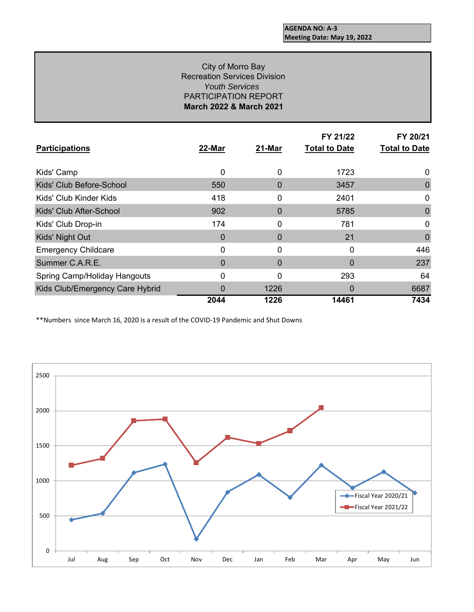### *Youth Services*  PARTICIPATION REPORT **March 2022 & March 2021** City of Morro Bay Recreation Services Division

| <b>Participations</b>           | 22-Mar   | 21-Mar | FY 21/22<br><b>Total to Date</b> | FY 20/21<br><b>Total to Date</b> |
|---------------------------------|----------|--------|----------------------------------|----------------------------------|
| Kids' Camp                      | 0        | 0      | 1723                             | 0                                |
| Kids' Club Before-School        | 550      | 0      | 3457                             | 0                                |
| Kids' Club Kinder Kids          | 418      | 0      | 2401                             | 0                                |
| Kids' Club After-School         | 902      | 0      | 5785                             | 0                                |
| Kids' Club Drop-in              | 174      | 0      | 781                              | 0                                |
| Kids' Night Out                 | 0        | 0      | 21                               | 0                                |
| <b>Emergency Childcare</b>      | 0        | 0      | 0                                | 446                              |
| Summer C.A.R.E.                 | $\Omega$ | 0      | $\Omega$                         | 237                              |
| Spring Camp/Holiday Hangouts    | 0        | 0      | 293                              | 64                               |
| Kids Club/Emergency Care Hybrid | 0        | 1226   | 0                                | 6687                             |
|                                 | 2044     | 1226   | 14461                            | 7434                             |

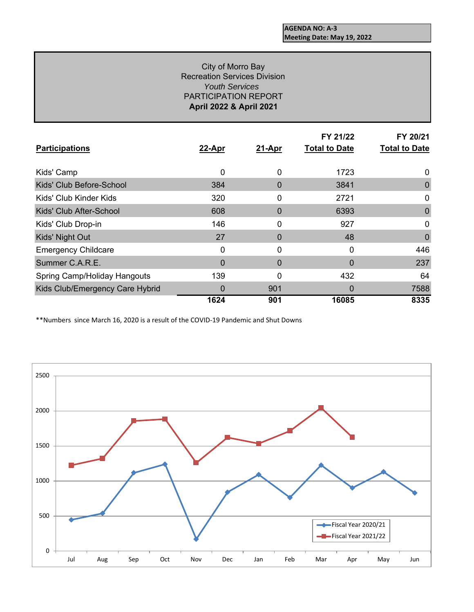### *Youth Services*  PARTICIPATION REPORT **April 2022 & April 2021** City of Morro Bay Recreation Services Division

| <b>Participations</b>           | 22-Apr   | 21-Apr   | FY 21/22<br><b>Total to Date</b> | FY 20/21<br><b>Total to Date</b> |
|---------------------------------|----------|----------|----------------------------------|----------------------------------|
| Kids' Camp                      | 0        | 0        | 1723                             | 0                                |
| Kids' Club Before-School        | 384      | $\Omega$ | 3841                             | 0                                |
| Kids' Club Kinder Kids          | 320      | 0        | 2721                             | 0                                |
| Kids' Club After-School         | 608      | 0        | 6393                             | 0                                |
| Kids' Club Drop-in              | 146      | 0        | 927                              | 0                                |
| Kids' Night Out                 | 27       | 0        | 48                               | 0                                |
| <b>Emergency Childcare</b>      | 0        | 0        | 0                                | 446                              |
| Summer C.A.R.E.                 | $\Omega$ | $\Omega$ | 0                                | 237                              |
| Spring Camp/Holiday Hangouts    | 139      | 0        | 432                              | 64                               |
| Kids Club/Emergency Care Hybrid | 0        | 901      | 0                                | 7588                             |
|                                 | 1624     | 901      | 16085                            | 8335                             |

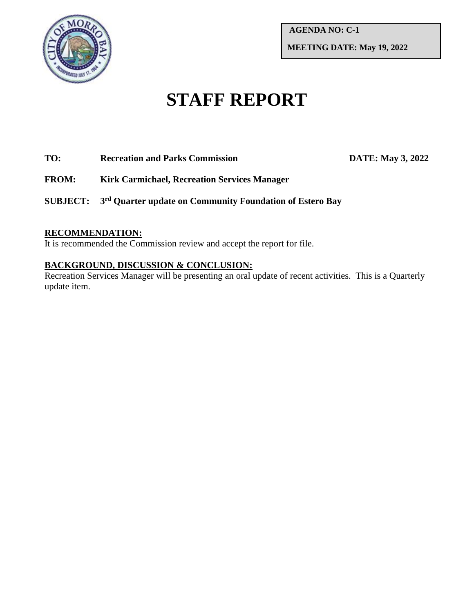

**AGENDA NO: C-1 MEETING DATE: May 19, 2022**

# **STAFF REPORT**

### **TO: Recreation and Parks Commission DATE: May 3, 2022**

**FROM: Kirk Carmichael, Recreation Services Manager**

**SUBJECT: 3 rd Quarter update on Community Foundation of Estero Bay**

### **RECOMMENDATION:**

It is recommended the Commission review and accept the report for file.

# **BACKGROUND, DISCUSSION & CONCLUSION:**

Recreation Services Manager will be presenting an oral update of recent activities. This is a Quarterly update item.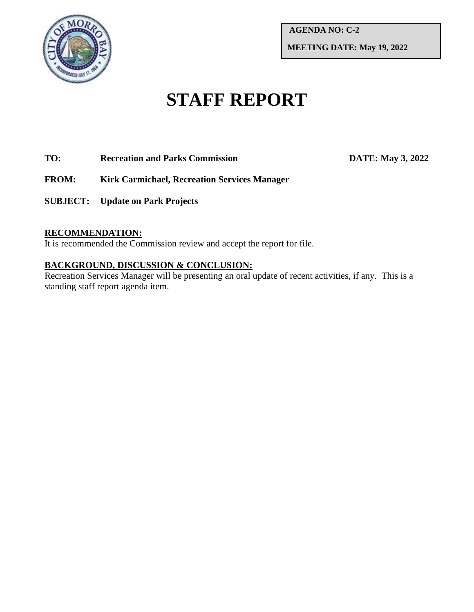

**AGENDA NO: C-2 MEETING DATE: May 19, 2022**

# **STAFF REPORT**

## **TO: Recreation and Parks Commission DATE: May 3, 2022**

- **FROM: Kirk Carmichael, Recreation Services Manager**
- **SUBJECT: Update on Park Projects**

### **RECOMMENDATION:**

It is recommended the Commission review and accept the report for file.

# **BACKGROUND, DISCUSSION & CONCLUSION:**

Recreation Services Manager will be presenting an oral update of recent activities, if any. This is a standing staff report agenda item.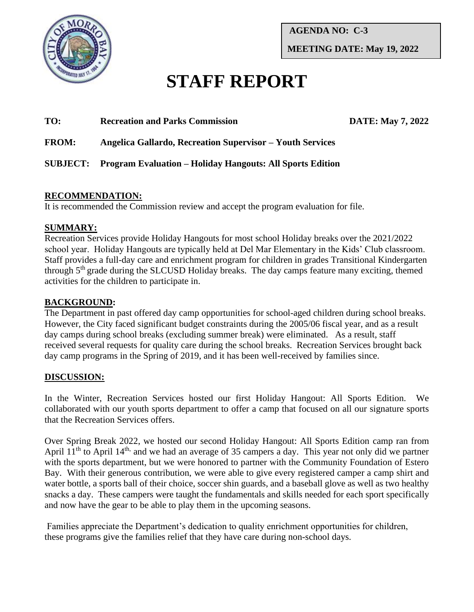

**AGENDA NO: C-3 MEETING DATE: May 19, 2022**

# **STAFF REPORT**

# **TO: Recreation and Parks Commission DATE: May 7, 2022**

# **FROM: Angelica Gallardo, Recreation Supervisor – Youth Services**

**SUBJECT: Program Evaluation – Holiday Hangouts: All Sports Edition**

### **RECOMMENDATION:**

It is recommended the Commission review and accept the program evaluation for file.

# **SUMMARY:**

Recreation Services provide Holiday Hangouts for most school Holiday breaks over the 2021/2022 school year. Holiday Hangouts are typically held at Del Mar Elementary in the Kids' Club classroom. Staff provides a full-day care and enrichment program for children in grades Transitional Kindergarten through 5th grade during the SLCUSD Holiday breaks. The day camps feature many exciting, themed activities for the children to participate in.

# **BACKGROUND:**

The Department in past offered day camp opportunities for school-aged children during school breaks. However, the City faced significant budget constraints during the 2005/06 fiscal year, and as a result day camps during school breaks (excluding summer break) were eliminated. As a result, staff received several requests for quality care during the school breaks. Recreation Services brought back day camp programs in the Spring of 2019, and it has been well-received by families since.

# **DISCUSSION:**

In the Winter, Recreation Services hosted our first Holiday Hangout: All Sports Edition. We collaborated with our youth sports department to offer a camp that focused on all our signature sports that the Recreation Services offers.

Over Spring Break 2022, we hosted our second Holiday Hangout: All Sports Edition camp ran from April 11<sup>th</sup> to April 14<sup>th,</sup> and we had an average of 35 campers a day. This year not only did we partner with the sports department, but we were honored to partner with the Community Foundation of Estero Bay. With their generous contribution, we were able to give every registered camper a camp shirt and water bottle, a sports ball of their choice, soccer shin guards, and a baseball glove as well as two healthy snacks a day. These campers were taught the fundamentals and skills needed for each sport specifically and now have the gear to be able to play them in the upcoming seasons.

Families appreciate the Department's dedication to quality enrichment opportunities for children, these programs give the families relief that they have care during non-school days.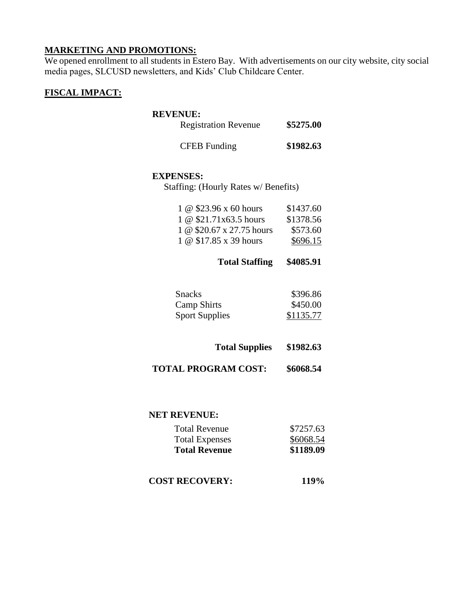### **MARKETING AND PROMOTIONS:**

We opened enrollment to all students in Estero Bay. With advertisements on our city website, city social media pages, SLCUSD newsletters, and Kids' Club Childcare Center.

### **FISCAL IMPACT:**

### **REVENUE:**

| <b>Registration Revenue</b> | \$5275.00 |
|-----------------------------|-----------|
| <b>CFEB</b> Funding         | \$1982.63 |

### **EXPENSES:**

Staffing: (Hourly Rates w/ Benefits)

| 1 @ \$23.96 x 60 hours    | \$1437.60 |
|---------------------------|-----------|
| 1 @ \$21.71x63.5 hours    | \$1378.56 |
| 1 @ \$20.67 x 27.75 hours | \$573.60  |
| 1 @ \$17.85 x 39 hours    | \$696.15  |

# **Total Staffing \$4085.91**

| <b>Snacks</b>         | \$396.86  |
|-----------------------|-----------|
| <b>Camp Shirts</b>    | \$450.00  |
| <b>Sport Supplies</b> | \$1135.77 |

**TOTAL PROGRAM COST: \$6068.54**

### **NET REVENUE:**

| <b>Total Revenue</b>  | \$7257.63 |
|-----------------------|-----------|
| <b>Total Expenses</b> | \$6068.54 |
| <b>Total Revenue</b>  | \$1189.09 |

**COST RECOVERY: 119%**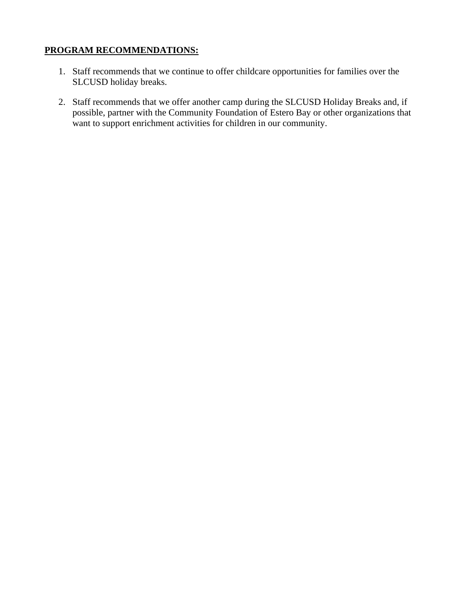# **PROGRAM RECOMMENDATIONS:**

- 1. Staff recommends that we continue to offer childcare opportunities for families over the SLCUSD holiday breaks.
- 2. Staff recommends that we offer another camp during the SLCUSD Holiday Breaks and, if possible, partner with the Community Foundation of Estero Bay or other organizations that want to support enrichment activities for children in our community.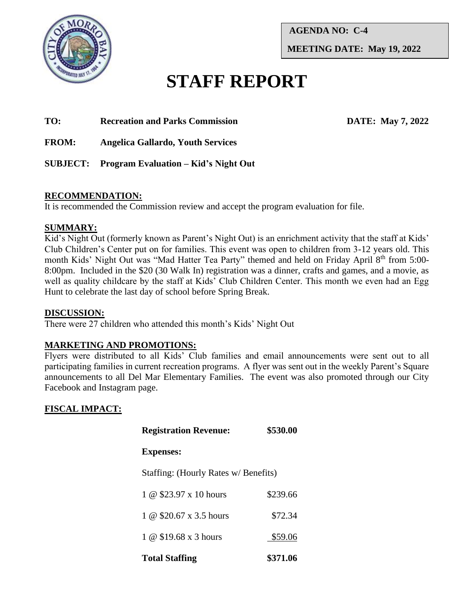

**AGENDA NO: C-4 MEETING DATE: May 19, 2022**

# **STAFF REPORT**

**TO: Recreation and Parks Commission DATE: May 7, 2022**

**FROM: Angelica Gallardo, Youth Services**

**SUBJECT: Program Evaluation – Kid's Night Out** 

### **RECOMMENDATION:**

It is recommended the Commission review and accept the program evaluation for file.

# **SUMMARY:**

Kid's Night Out (formerly known as Parent's Night Out) is an enrichment activity that the staff at Kids' Club Children's Center put on for families. This event was open to children from 3-12 years old. This month Kids' Night Out was "Mad Hatter Tea Party" themed and held on Friday April 8<sup>th</sup> from 5:00-8:00pm. Included in the \$20 (30 Walk In) registration was a dinner, crafts and games, and a movie, as well as quality childcare by the staff at Kids' Club Children Center. This month we even had an Egg Hunt to celebrate the last day of school before Spring Break.

### **DISCUSSION:**

There were 27 children who attended this month's Kids' Night Out

# **MARKETING AND PROMOTIONS:**

Flyers were distributed to all Kids' Club families and email announcements were sent out to all participating families in current recreation programs. A flyer was sent out in the weekly Parent's Square announcements to all Del Mar Elementary Families. The event was also promoted through our City Facebook and Instagram page.

# **FISCAL IMPACT:**

| <b>Registration Revenue:</b>         | \$530.00 |  |
|--------------------------------------|----------|--|
| <b>Expenses:</b>                     |          |  |
| Staffing: (Hourly Rates w/ Benefits) |          |  |
| 1 @ \$23.97 x 10 hours               | \$239.66 |  |
| 1 @ \$20.67 x 3.5 hours              | \$72.34  |  |
| 1 @ \$19.68 x 3 hours                | \$59.06  |  |
| <b>Total Staffing</b>                | \$371.06 |  |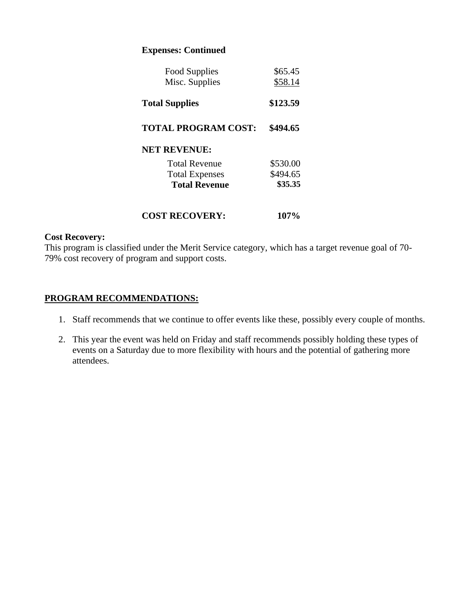### **Expenses: Continued**

| Food Supplies<br>Misc. Supplies | \$65.45<br>\$58.14 |
|---------------------------------|--------------------|
| <b>Total Supplies</b>           | \$123.59           |
| <b>TOTAL PROGRAM COST:</b>      | \$494.65           |
| <b>NET REVENUE:</b>             |                    |
| <b>Total Revenue</b>            | \$530.00           |
| <b>Total Expenses</b>           | \$494.65           |
| <b>Total Revenue</b>            | \$35.35            |
| <b>COST RECOVERY:</b>           | 107%               |

### **Cost Recovery:**

This program is classified under the Merit Service category, which has a target revenue goal of 70- 79% cost recovery of program and support costs.

### **PROGRAM RECOMMENDATIONS:**

- 1. Staff recommends that we continue to offer events like these, possibly every couple of months.
- 2. This year the event was held on Friday and staff recommends possibly holding these types of events on a Saturday due to more flexibility with hours and the potential of gathering more attendees.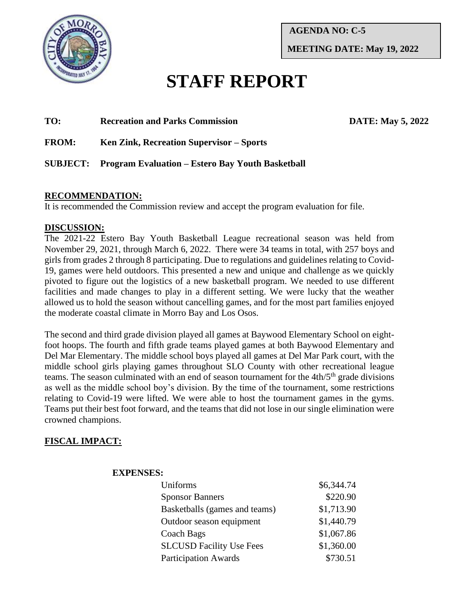

**AGENDA NO: C-5 MEETING DATE: May 19, 2022**

# **STAFF REPORT**

## **TO: Recreation and Parks Commission DATE: May 5, 2022**

**FROM: Ken Zink, Recreation Supervisor – Sports**

# **SUBJECT: Program Evaluation – Estero Bay Youth Basketball**

### **RECOMMENDATION:**

It is recommended the Commission review and accept the program evaluation for file.

### **DISCUSSION:**

The 2021-22 Estero Bay Youth Basketball League recreational season was held from November 29, 2021, through March 6, 2022. There were 34 teams in total, with 257 boys and girls from grades 2 through 8 participating. Due to regulations and guidelines relating to Covid-19, games were held outdoors. This presented a new and unique and challenge as we quickly pivoted to figure out the logistics of a new basketball program. We needed to use different facilities and made changes to play in a different setting. We were lucky that the weather allowed us to hold the season without cancelling games, and for the most part families enjoyed the moderate coastal climate in Morro Bay and Los Osos.

The second and third grade division played all games at Baywood Elementary School on eightfoot hoops. The fourth and fifth grade teams played games at both Baywood Elementary and Del Mar Elementary. The middle school boys played all games at Del Mar Park court, with the middle school girls playing games throughout SLO County with other recreational league teams. The season culminated with an end of season tournament for the  $4th/5<sup>th</sup>$  grade divisions as well as the middle school boy's division. By the time of the tournament, some restrictions relating to Covid-19 were lifted. We were able to host the tournament games in the gyms. Teams put their best foot forward, and the teams that did not lose in our single elimination were crowned champions.

### **FISCAL IMPACT:**

### **EXPENSES:**

| Uniforms                        | \$6,344.74 |
|---------------------------------|------------|
| <b>Sponsor Banners</b>          | \$220.90   |
| Basketballs (games and teams)   | \$1,713.90 |
| Outdoor season equipment        | \$1,440.79 |
| Coach Bags                      | \$1,067.86 |
| <b>SLCUSD Facility Use Fees</b> | \$1,360.00 |
| <b>Participation Awards</b>     | \$730.51   |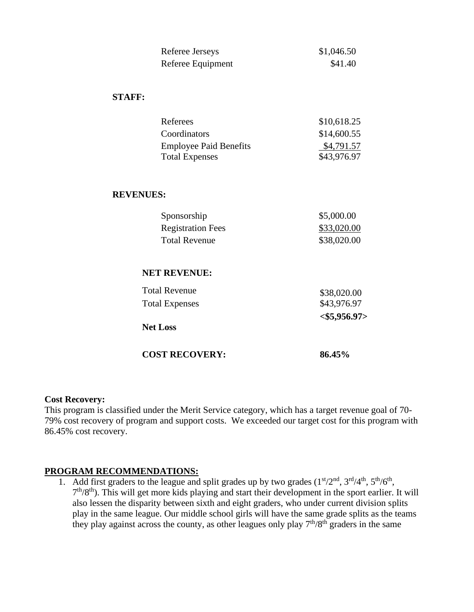| Referee Jerseys   | \$1,046.50 |
|-------------------|------------|
| Referee Equipment | \$41.40    |

### **STAFF:**

| Referees                      | \$10,618.25 |
|-------------------------------|-------------|
| Coordinators                  | \$14,600.55 |
| <b>Employee Paid Benefits</b> | \$4,791.57  |
| <b>Total Expenses</b>         | \$43,976.97 |

### **REVENUES:**

| \$5,000.00  |
|-------------|
| \$33,020.00 |
| \$38,020.00 |
|             |

### **NET REVENUE:**

| <b>Total Revenue</b>  | \$38,020.00 |
|-----------------------|-------------|
| <b>Total Expenses</b> | \$43,976.97 |
| <b>Net Loss</b>       |             |
| <b>COST RECOVERY:</b> | 86.45%      |

### **Cost Recovery:**

This program is classified under the Merit Service category, which has a target revenue goal of 70- 79% cost recovery of program and support costs. We exceeded our target cost for this program with 86.45% cost recovery.

### **PROGRAM RECOMMENDATIONS:**

1. Add first graders to the league and split grades up by two grades  $(1<sup>st</sup>/2<sup>nd</sup>, 3<sup>rd</sup>/4<sup>th</sup>, 5<sup>th</sup>/6<sup>th</sup>$ , 7<sup>th</sup>/8<sup>th</sup>). This will get more kids playing and start their development in the sport earlier. It will also lessen the disparity between sixth and eight graders, who under current division splits play in the same league. Our middle school girls will have the same grade splits as the teams they play against across the county, as other leagues only play  $7<sup>th</sup>/8<sup>th</sup>$  graders in the same